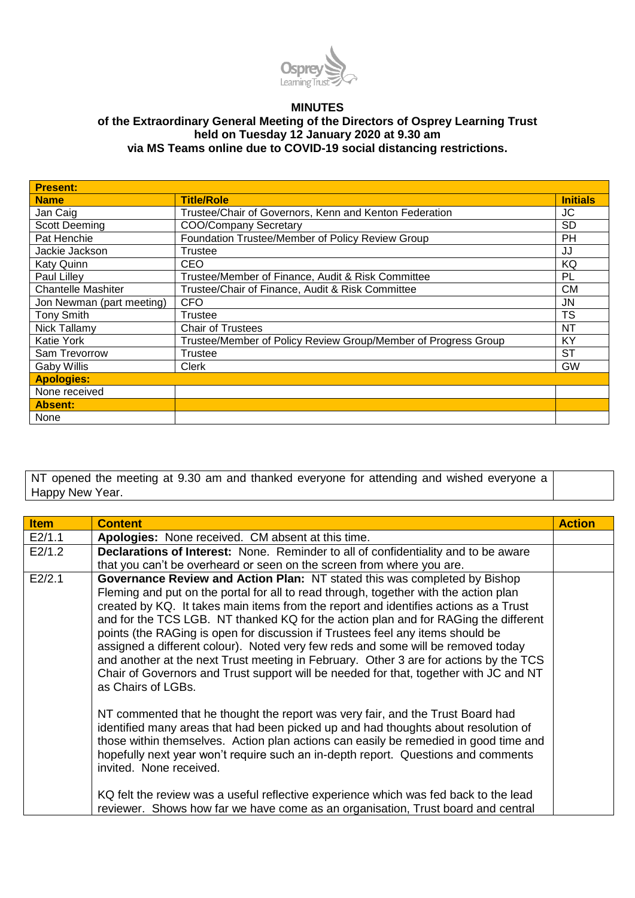

## **MINUTES of the Extraordinary General Meeting of the Directors of Osprey Learning Trust held on Tuesday 12 January 2020 at 9.30 am**

**via MS Teams online due to COVID-19 social distancing restrictions. Present:**

| <b>Name</b>               | <b>Title/Role</b>                                              | <b>Initials</b> |
|---------------------------|----------------------------------------------------------------|-----------------|
| Jan Caig                  | Trustee/Chair of Governors, Kenn and Kenton Federation         | JC              |
| <b>Scott Deeming</b>      | <b>COO/Company Secretary</b>                                   | SD              |
| Pat Henchie               | Foundation Trustee/Member of Policy Review Group               | PH              |
| Jackie Jackson            | Trustee                                                        | JJ              |
| <b>Katy Quinn</b>         | CEO                                                            | KQ              |
| Paul Lilley               | Trustee/Member of Finance, Audit & Risk Committee              | PL              |
| <b>Chantelle Mashiter</b> | Trustee/Chair of Finance, Audit & Risk Committee               | CМ              |
| Jon Newman (part meeting) | <b>CFO</b>                                                     | JN              |
| <b>Tony Smith</b>         | Trustee                                                        | <b>TS</b>       |
| Nick Tallamy              | <b>Chair of Trustees</b>                                       | NΤ              |
| <b>Katie York</b>         | Trustee/Member of Policy Review Group/Member of Progress Group | KY              |
| Sam Trevorrow             | <b>Trustee</b>                                                 | ST              |
| Gaby Willis               | <b>Clerk</b>                                                   | GW              |
| <b>Apologies:</b>         |                                                                |                 |
| None received             |                                                                |                 |
| <b>Absent:</b>            |                                                                |                 |
| None                      |                                                                |                 |

NT opened the meeting at 9.30 am and thanked everyone for attending and wished everyone a Happy New Year.

| <b>Item</b> | <b>Content</b>                                                                                                                                                                                                                                                                                                                                                                                                                                                                                                                                                                                                                                                                                                                                                                                                                                                                                                                                                                                                                                                                                                 | <b>Action</b> |
|-------------|----------------------------------------------------------------------------------------------------------------------------------------------------------------------------------------------------------------------------------------------------------------------------------------------------------------------------------------------------------------------------------------------------------------------------------------------------------------------------------------------------------------------------------------------------------------------------------------------------------------------------------------------------------------------------------------------------------------------------------------------------------------------------------------------------------------------------------------------------------------------------------------------------------------------------------------------------------------------------------------------------------------------------------------------------------------------------------------------------------------|---------------|
| E2/1.1      | Apologies: None received. CM absent at this time.                                                                                                                                                                                                                                                                                                                                                                                                                                                                                                                                                                                                                                                                                                                                                                                                                                                                                                                                                                                                                                                              |               |
| E2/1.2      | <b>Declarations of Interest:</b> None. Reminder to all of confidentiality and to be aware                                                                                                                                                                                                                                                                                                                                                                                                                                                                                                                                                                                                                                                                                                                                                                                                                                                                                                                                                                                                                      |               |
|             | that you can't be overheard or seen on the screen from where you are.                                                                                                                                                                                                                                                                                                                                                                                                                                                                                                                                                                                                                                                                                                                                                                                                                                                                                                                                                                                                                                          |               |
| E2/2.1      | Governance Review and Action Plan: NT stated this was completed by Bishop<br>Fleming and put on the portal for all to read through, together with the action plan<br>created by KQ. It takes main items from the report and identifies actions as a Trust<br>and for the TCS LGB. NT thanked KQ for the action plan and for RAGing the different<br>points (the RAGing is open for discussion if Trustees feel any items should be<br>assigned a different colour). Noted very few reds and some will be removed today<br>and another at the next Trust meeting in February. Other 3 are for actions by the TCS<br>Chair of Governors and Trust support will be needed for that, together with JC and NT<br>as Chairs of LGBs.<br>NT commented that he thought the report was very fair, and the Trust Board had<br>identified many areas that had been picked up and had thoughts about resolution of<br>those within themselves. Action plan actions can easily be remedied in good time and<br>hopefully next year won't require such an in-depth report. Questions and comments<br>invited. None received. |               |
|             | KQ felt the review was a useful reflective experience which was fed back to the lead<br>reviewer. Shows how far we have come as an organisation, Trust board and central                                                                                                                                                                                                                                                                                                                                                                                                                                                                                                                                                                                                                                                                                                                                                                                                                                                                                                                                       |               |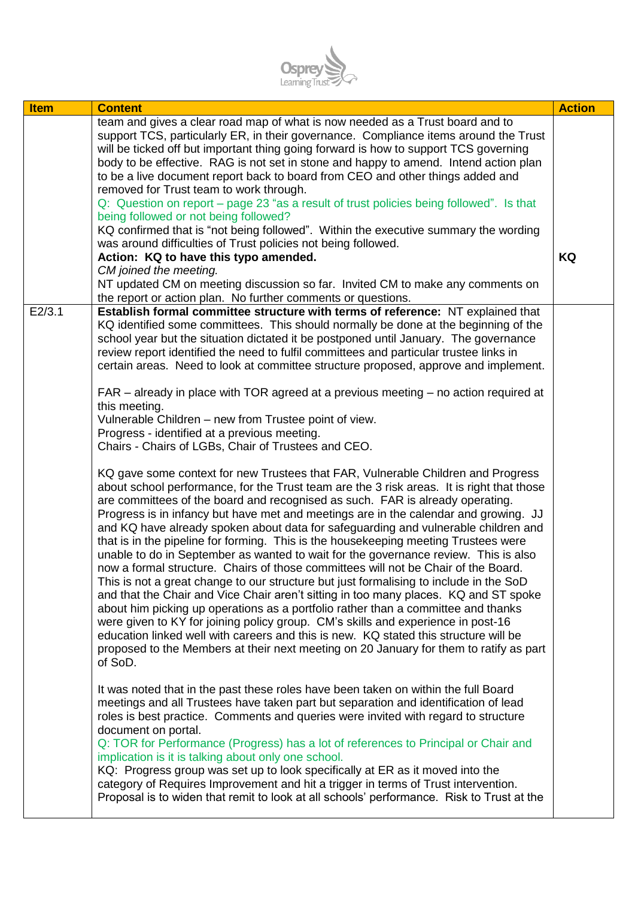

| <b>Item</b> | <b>Content</b>                                                                                                                                                                                                                                                                                                                                                                                                                                                                                                                                                                                                                                                                                                                                                                                                                                                                                                                                                                                                                                                                                                                                                                                                                                                                                                                                                                                                                                                                                                                         | <b>Action</b> |
|-------------|----------------------------------------------------------------------------------------------------------------------------------------------------------------------------------------------------------------------------------------------------------------------------------------------------------------------------------------------------------------------------------------------------------------------------------------------------------------------------------------------------------------------------------------------------------------------------------------------------------------------------------------------------------------------------------------------------------------------------------------------------------------------------------------------------------------------------------------------------------------------------------------------------------------------------------------------------------------------------------------------------------------------------------------------------------------------------------------------------------------------------------------------------------------------------------------------------------------------------------------------------------------------------------------------------------------------------------------------------------------------------------------------------------------------------------------------------------------------------------------------------------------------------------------|---------------|
|             | team and gives a clear road map of what is now needed as a Trust board and to<br>support TCS, particularly ER, in their governance. Compliance items around the Trust<br>will be ticked off but important thing going forward is how to support TCS governing<br>body to be effective. RAG is not set in stone and happy to amend. Intend action plan<br>to be a live document report back to board from CEO and other things added and<br>removed for Trust team to work through.                                                                                                                                                                                                                                                                                                                                                                                                                                                                                                                                                                                                                                                                                                                                                                                                                                                                                                                                                                                                                                                     |               |
|             | Q: Question on report – page 23 "as a result of trust policies being followed". Is that<br>being followed or not being followed?<br>KQ confirmed that is "not being followed". Within the executive summary the wording                                                                                                                                                                                                                                                                                                                                                                                                                                                                                                                                                                                                                                                                                                                                                                                                                                                                                                                                                                                                                                                                                                                                                                                                                                                                                                                |               |
|             | was around difficulties of Trust policies not being followed.                                                                                                                                                                                                                                                                                                                                                                                                                                                                                                                                                                                                                                                                                                                                                                                                                                                                                                                                                                                                                                                                                                                                                                                                                                                                                                                                                                                                                                                                          |               |
|             | Action: KQ to have this typo amended.                                                                                                                                                                                                                                                                                                                                                                                                                                                                                                                                                                                                                                                                                                                                                                                                                                                                                                                                                                                                                                                                                                                                                                                                                                                                                                                                                                                                                                                                                                  | KQ            |
|             | CM joined the meeting.<br>NT updated CM on meeting discussion so far. Invited CM to make any comments on<br>the report or action plan. No further comments or questions.                                                                                                                                                                                                                                                                                                                                                                                                                                                                                                                                                                                                                                                                                                                                                                                                                                                                                                                                                                                                                                                                                                                                                                                                                                                                                                                                                               |               |
| E2/3.1      | Establish formal committee structure with terms of reference: NT explained that<br>KQ identified some committees. This should normally be done at the beginning of the<br>school year but the situation dictated it be postponed until January. The governance<br>review report identified the need to fulfil committees and particular trustee links in<br>certain areas. Need to look at committee structure proposed, approve and implement.<br>FAR – already in place with TOR agreed at a previous meeting – no action required at<br>this meeting.<br>Vulnerable Children – new from Trustee point of view.<br>Progress - identified at a previous meeting.<br>Chairs - Chairs of LGBs, Chair of Trustees and CEO.<br>KQ gave some context for new Trustees that FAR, Vulnerable Children and Progress<br>about school performance, for the Trust team are the 3 risk areas. It is right that those<br>are committees of the board and recognised as such. FAR is already operating.<br>Progress is in infancy but have met and meetings are in the calendar and growing. JJ<br>and KQ have already spoken about data for safeguarding and vulnerable children and<br>that is in the pipeline for forming. This is the housekeeping meeting Trustees were<br>unable to do in September as wanted to wait for the governance review. This is also<br>now a formal structure. Chairs of those committees will not be Chair of the Board.<br>This is not a great change to our structure but just formalising to include in the SoD |               |
|             | and that the Chair and Vice Chair aren't sitting in too many places. KQ and ST spoke<br>about him picking up operations as a portfolio rather than a committee and thanks<br>were given to KY for joining policy group. CM's skills and experience in post-16<br>education linked well with careers and this is new. KQ stated this structure will be<br>proposed to the Members at their next meeting on 20 January for them to ratify as part<br>of SoD.                                                                                                                                                                                                                                                                                                                                                                                                                                                                                                                                                                                                                                                                                                                                                                                                                                                                                                                                                                                                                                                                             |               |
|             | It was noted that in the past these roles have been taken on within the full Board<br>meetings and all Trustees have taken part but separation and identification of lead<br>roles is best practice. Comments and queries were invited with regard to structure<br>document on portal.<br>Q: TOR for Performance (Progress) has a lot of references to Principal or Chair and<br>implication is it is talking about only one school.                                                                                                                                                                                                                                                                                                                                                                                                                                                                                                                                                                                                                                                                                                                                                                                                                                                                                                                                                                                                                                                                                                   |               |
|             | KQ: Progress group was set up to look specifically at ER as it moved into the<br>category of Requires Improvement and hit a trigger in terms of Trust intervention.<br>Proposal is to widen that remit to look at all schools' performance. Risk to Trust at the                                                                                                                                                                                                                                                                                                                                                                                                                                                                                                                                                                                                                                                                                                                                                                                                                                                                                                                                                                                                                                                                                                                                                                                                                                                                       |               |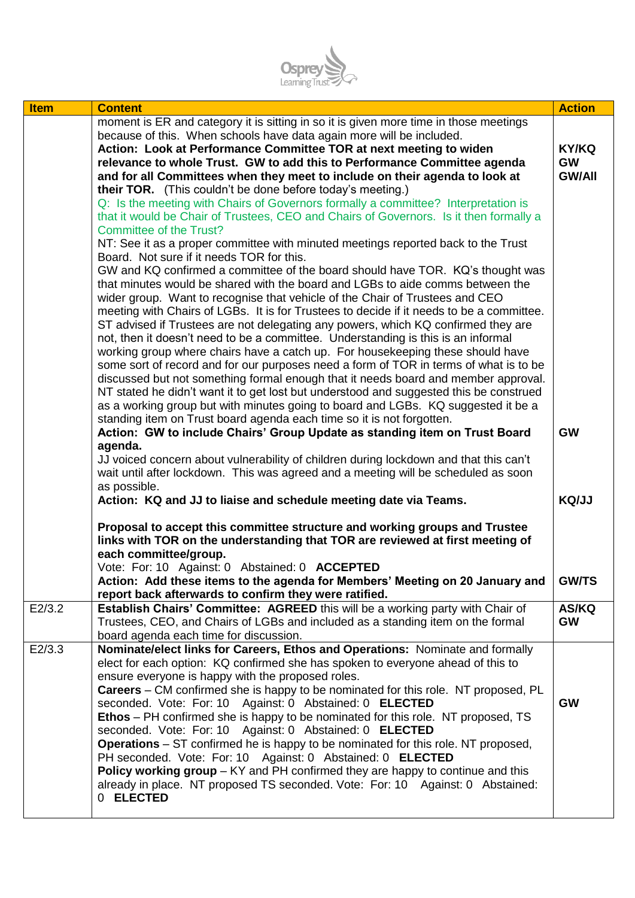

| <b>Item</b> | <b>Content</b>                                                                            | <b>Action</b> |
|-------------|-------------------------------------------------------------------------------------------|---------------|
|             | moment is ER and category it is sitting in so it is given more time in those meetings     |               |
|             | because of this. When schools have data again more will be included.                      |               |
|             | Action: Look at Performance Committee TOR at next meeting to widen                        | <b>KY/KQ</b>  |
|             | relevance to whole Trust. GW to add this to Performance Committee agenda                  | <b>GW</b>     |
|             | and for all Committees when they meet to include on their agenda to look at               | <b>GW/All</b> |
|             | their TOR. (This couldn't be done before today's meeting.)                                |               |
|             | Q: Is the meeting with Chairs of Governors formally a committee? Interpretation is        |               |
|             | that it would be Chair of Trustees, CEO and Chairs of Governors. Is it then formally a    |               |
|             | <b>Committee of the Trust?</b>                                                            |               |
|             | NT: See it as a proper committee with minuted meetings reported back to the Trust         |               |
|             | Board. Not sure if it needs TOR for this.                                                 |               |
|             | GW and KQ confirmed a committee of the board should have TOR. KQ's thought was            |               |
|             | that minutes would be shared with the board and LGBs to aide comms between the            |               |
|             | wider group. Want to recognise that vehicle of the Chair of Trustees and CEO              |               |
|             | meeting with Chairs of LGBs. It is for Trustees to decide if it needs to be a committee.  |               |
|             | ST advised if Trustees are not delegating any powers, which KQ confirmed they are         |               |
|             | not, then it doesn't need to be a committee. Understanding is this is an informal         |               |
|             | working group where chairs have a catch up. For housekeeping these should have            |               |
|             | some sort of record and for our purposes need a form of TOR in terms of what is to be     |               |
|             | discussed but not something formal enough that it needs board and member approval.        |               |
|             | NT stated he didn't want it to get lost but understood and suggested this be construed    |               |
|             | as a working group but with minutes going to board and LGBs. KQ suggested it be a         |               |
|             | standing item on Trust board agenda each time so it is not forgotten.                     |               |
|             | Action: GW to include Chairs' Group Update as standing item on Trust Board                | <b>GW</b>     |
|             | agenda.                                                                                   |               |
|             | JJ voiced concern about vulnerability of children during lockdown and that this can't     |               |
|             | wait until after lockdown. This was agreed and a meeting will be scheduled as soon        |               |
|             | as possible.                                                                              |               |
|             | Action: KQ and JJ to liaise and schedule meeting date via Teams.                          | KQ/JJ         |
|             |                                                                                           |               |
|             | Proposal to accept this committee structure and working groups and Trustee                |               |
|             | links with TOR on the understanding that TOR are reviewed at first meeting of             |               |
|             | each committee/group.                                                                     |               |
|             | Vote: For: 10 Against: 0 Abstained: 0 ACCEPTED                                            |               |
|             | Action: Add these items to the agenda for Members' Meeting on 20 January and              | <b>GW/TS</b>  |
|             | report back afterwards to confirm they were ratified.                                     |               |
| E2/3.2      | Establish Chairs' Committee: AGREED this will be a working party with Chair of            | AS/KQ         |
|             | Trustees, CEO, and Chairs of LGBs and included as a standing item on the formal           | <b>GW</b>     |
|             | board agenda each time for discussion.                                                    |               |
| E2/3.3      | Nominate/elect links for Careers, Ethos and Operations: Nominate and formally             |               |
|             | elect for each option: KQ confirmed she has spoken to everyone ahead of this to           |               |
|             | ensure everyone is happy with the proposed roles.                                         |               |
|             | <b>Careers</b> – CM confirmed she is happy to be nominated for this role. NT proposed, PL |               |
|             | seconded. Vote: For: 10 Against: 0 Abstained: 0 ELECTED                                   | <b>GW</b>     |
|             | <b>Ethos</b> – PH confirmed she is happy to be nominated for this role. NT proposed, TS   |               |
|             | seconded. Vote: For: 10 Against: 0 Abstained: 0 ELECTED                                   |               |
|             | <b>Operations</b> – ST confirmed he is happy to be nominated for this role. NT proposed,  |               |
|             | PH seconded. Vote: For: 10 Against: 0 Abstained: 0 ELECTED                                |               |
|             | <b>Policy working group</b> $-$ KY and PH confirmed they are happy to continue and this   |               |
|             | already in place. NT proposed TS seconded. Vote: For: 10 Against: 0 Abstained:            |               |
|             | 0 ELECTED                                                                                 |               |
|             |                                                                                           |               |